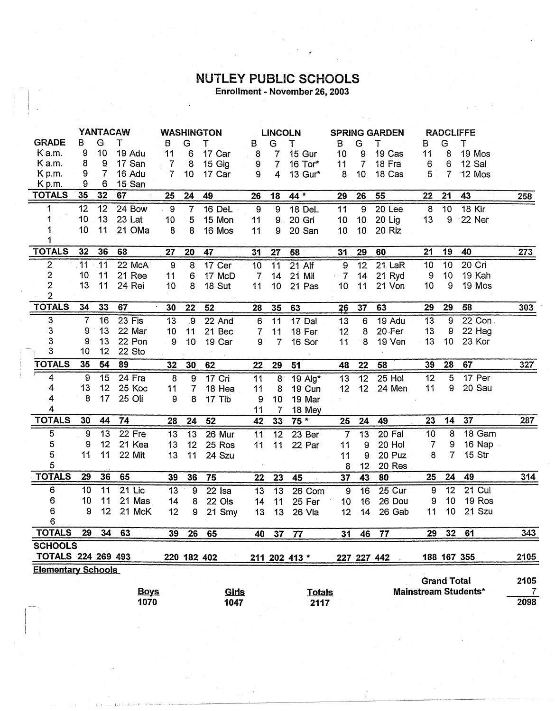## **NUTLEY PUBLIC SCHOOLS**<br>Enrollment - November 26, 2003

|                                                                                  | <b>YANTACAW</b> |                 |             | <b>WASHINGTON</b> |                 | <b>LINCOLN</b> |                |                 | <b>SPRING GARDEN</b> |                |                 | <b>RADCLIFFE</b> |                  |                    |                             |      |
|----------------------------------------------------------------------------------|-----------------|-----------------|-------------|-------------------|-----------------|----------------|----------------|-----------------|----------------------|----------------|-----------------|------------------|------------------|--------------------|-----------------------------|------|
| <b>GRADE</b>                                                                     | B               | G               | т           | в                 | G               | т              | В              | G               | т                    | в              | G               | т                | В                | G                  | Т                           |      |
| Ka.m.                                                                            | 9               | 10              | 19 Adu      | 11                | 6               | 17 Car         | 8              | 7               | 15 Gur               | 10             | 9               | 19 Cas           | 11               | 8                  | 19 Mos                      |      |
| K a.m.                                                                           | 8               | 9               | 17 San      | 7                 | 8               | 15 Gig         | 9              | $\overline{7}$  | 16 Tor*              | 11             | $\overline{7}$  | 18 Fra           | 6 <sub>1</sub>   | 6                  | 12 Sal                      |      |
| K p.m.                                                                           | 9               | $\overline{7}$  | 16 Adu      | $\overline{7}$    | 10              | 17 Car         | 9              | $\overline{4}$  | 13 Gur*              | 8              | 10              | 18 Cas           | 5 <sup>1</sup>   | $\overline{7}$     | 12 Mos                      |      |
| K p.m.                                                                           | 9               | 6               | 15 San      |                   |                 |                |                |                 |                      |                |                 |                  |                  |                    |                             |      |
| <b>TOTALS</b>                                                                    | 35              | 32              | 67          | 25                | 24              | 49             | 26             | 18              | 44 *                 | 29             | 26              | 55               | 22               | 21                 | 43                          | 258  |
| 1                                                                                | 12              | 12              | 24 Bow      | 9                 | $\overline{7}$  | 16 DeL         | 9              | $\overline{9}$  | 18 DeL               | 11             | 9               | 20 Lee           | 8                | 10                 | 18 Kir                      |      |
| 1                                                                                | 10              | 13              | 23 Lat      | 10                | 5               | 15 Mon         | 11             | 9.              | 20 Gri               | 10             | 10 <sub>1</sub> | 20 Lig           | 13               | 9                  | 22 Ner                      |      |
|                                                                                  | 10              | 11              | 21 OMa      | 8                 | 8               | 16 Mos         | 11             | 9               | 20 San               | 10             | 10 <sub>1</sub> | 20 Riz           |                  |                    |                             |      |
|                                                                                  |                 |                 |             |                   |                 |                |                |                 |                      |                |                 |                  |                  |                    |                             |      |
| <b>TOTALS</b>                                                                    | 32              | 36              | 68          | 27                | 20              | 47             | 31             | 27              | 58                   | 31             | 29              | 60               | 21               | 19                 | 40                          | 273  |
| 2                                                                                | .11             | $\overline{1}1$ | 22 McA      | $\boldsymbol{9}$  | 8               | 17 Cer         | 10             | 11              | 21 Alf               | 9              | $\overline{12}$ | 21 LaR           | 10               | 10                 | 20 Cri                      |      |
| $\overline{2}$                                                                   | 10              | $11$            | 21 Ree      | 11                | 6               | 17 McD         | $\overline{7}$ | 14              | $21$ Mil             | $\cdot$ 7      | 14              | 21 Ryd           | 9                | 10                 | 19 Kah                      |      |
| $\overline{2}$                                                                   | 13              | 11              | 24 Rei      | 10                | 8               | 18 Sut         | 11             | 10              | 21 Pas               | 10             | 11              | 21 Von           | 10               | 9                  | 19 Mos                      |      |
| $\overline{2}$                                                                   |                 |                 |             |                   |                 |                |                |                 |                      |                |                 |                  |                  |                    |                             |      |
| <b>TOTALS</b>                                                                    | 34              | 33              | 67          | 30                | 22              | 52             | 28             | 35              | 63                   | 26             | 37              | 63               | 29               | 29                 | 58                          | 303  |
| $\overline{3}$                                                                   | $\overline{7}$  | 16              | $23$ Fis    | 13                | $\overline{9}$  | 22 And         | 6              | $\overline{11}$ | $17$ Dal             | 13             | 6               | 19 Adu           | 13               | 9                  | 22 Con                      |      |
| 3                                                                                | 9               | 13              | 22 Mar      | 10                | 11              | 21 Bec         | 7              | 11              | 18 Fer               | 12             | 8               | 20 Fer           | 13               | 9                  | 22 Hag                      |      |
| $\ensuremath{\mathsf{3}}$                                                        | 9               | 13              | 22 Pon      | 9                 | 10              | 19 Car         | 9              | $\overline{7}$  | 16 Sor               | 11             | 8               | 19 Ven           | 13               | 10                 | 23 Kor                      |      |
| 3                                                                                | 10              | 12              | 22 Sto      |                   |                 |                |                |                 |                      |                |                 |                  |                  |                    |                             |      |
| <b>TOTALS</b>                                                                    | 35              | 54              | 89          | 32                | 30              | 62             | 22             | 29              | 51                   | 48             | 22              | 58               | 39               | 28                 | 67                          | 327  |
| 4                                                                                | 9               | 15              | 24 Fra      | $\overline{8}$    | 9               | 17 Cri         | 11             | $8^{\circ}$     | 19 Alg*              | 13             | $\overline{12}$ | $25$ Hol         | 12               | 5                  | 17 Per                      |      |
| 4                                                                                | 13              | 12              | 25 Koc      | 11                | $\overline{7}$  | 18 Hea         | 11             | 8               | 19 Cun               | 12             | 12 <sup>2</sup> | 24 Men           | 11               | 9                  | 20 Sau                      |      |
| 4                                                                                | 8               | 17              | 25 Oli      | 9                 | 8               | 17 Tib         | 9              | 10 <sub>1</sub> | 19 Mar               |                |                 |                  |                  |                    |                             |      |
| 4                                                                                |                 |                 |             |                   |                 |                | 11             | $\overline{7}$  | 18 Mey               |                |                 |                  |                  |                    |                             |      |
| <b>TOTALS</b>                                                                    | 30              | 44              | 74          | 28                | 24              | 52             | 42             | 33              | $75*$                | 25             | 24              | 49               | 23               | 14                 | 37                          | 287  |
| $\mathbf 5$                                                                      | 9               | 13              | 22 Fre      | 13                | $\overline{13}$ | 26 Mur         | 11             | 12              | 23 Ber               | 7              | 13              | 20 Fal           | 10 <sub>1</sub>  | 8                  | 18 Gam                      |      |
| 5                                                                                | 9               | 12              | 21 Kea      | 13                | 12              | 25 Ros         | 11             | 11              | 22 Par               | 11             | 9               | 20 Hol           | 7                | 9                  | 16 Nap                      |      |
| 5                                                                                | 11              | 11              | 22 Mit      | 13                | 11              | 24 Szu         |                |                 |                      | 11             | 9               | 20 Puz           | 8                | 7                  | 15 Str                      |      |
| 5                                                                                |                 |                 |             |                   |                 |                |                |                 |                      | 8              | 12              | 20 Res           |                  |                    |                             |      |
| <b>TOTALS</b>                                                                    | 29              | 36              | 65          | 39                | 36              | 75             | 22             | 23              | 45                   | 37             | 43              | 80               | 25               | 24                 | 49                          | 314  |
| 6                                                                                | 10              | 11              | $21$ Lic    | 13                | $\overline{9}$  | 22 Isa         | 13             | 13              | 26 Com               | $\overline{9}$ | 16              | $25$ Cur         | $\boldsymbol{9}$ | 12                 | 21 Cul                      |      |
| 6                                                                                | 10              | 11              | 21 Mas      | 14                | 8               | 22 Ols         | 14             | 11              | 25 Fer               | 10             | 16              | 26 Dou           | 9                | 10                 | 19 Ros                      |      |
| 6                                                                                | 9               | 12              | 21 McK      | 12                | 9               | 21 Smy         | 13             | 13              | 26 Vla               | 12             | 14              | 26 Gab           | 11               | 10                 | 21 Szu                      |      |
| $6\phantom{a}$                                                                   |                 |                 |             |                   |                 |                |                |                 |                      |                |                 |                  |                  |                    |                             |      |
| <b>TOTALS</b>                                                                    | 29              | 34              | 63          | 39                | 26              | 65             | 40             | 37              | 77                   | 31             | 46              | 77               | 29               | 32 <sub>2</sub>    | 61                          | 343  |
| <b>SCHOOLS</b>                                                                   |                 |                 |             |                   |                 |                |                |                 |                      |                |                 |                  |                  |                    |                             |      |
| TOTALS 224 269 493<br>220 182 402<br>188 167 355<br>211 202 413 *<br>227 227 442 |                 |                 |             |                   |                 |                |                | 2105            |                      |                |                 |                  |                  |                    |                             |      |
| <b>Elementary Schools</b>                                                        |                 |                 |             |                   |                 |                |                |                 |                      |                |                 |                  |                  |                    |                             |      |
|                                                                                  |                 |                 |             |                   |                 |                |                |                 |                      |                |                 |                  |                  | <b>Grand Total</b> |                             | 2105 |
|                                                                                  |                 |                 | <b>Boys</b> |                   |                 | Girls          |                |                 | <b>Totals</b>        |                |                 |                  |                  |                    | <b>Mainstream Students*</b> | 7    |
|                                                                                  |                 |                 | 1070        |                   |                 | 1047           |                |                 | 2117                 |                |                 |                  |                  |                    |                             | 2098 |